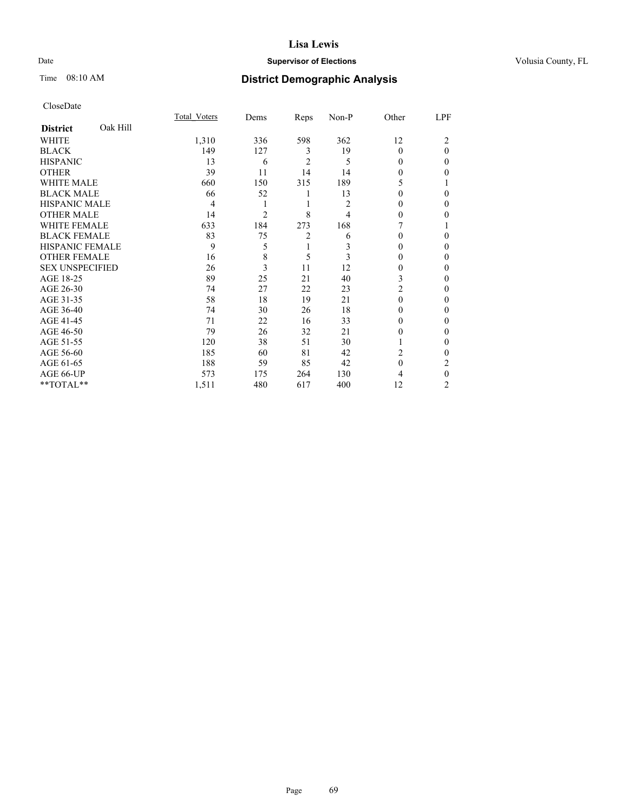Date /01/01

Time 08:10 AM

### **Supervisor of Elections County, FL**

# **District Demographic Analysis**

|                        |          | Total Voters | Dems | Reps           | Non-P | Other          | LPF          |
|------------------------|----------|--------------|------|----------------|-------|----------------|--------------|
| <b>District</b>        | Oak Hill |              |      |                |       |                |              |
| WHITE                  |          | 1,310        | 336  | 598            | 362   | 12             | 2            |
| <b>BLACK</b>           |          | 149          | 127  | 3              | 19    | 0              | $\theta$     |
| <b>HISPANIC</b>        |          | 13           | 6    | $\overline{c}$ | 5     | 0              | 0            |
| <b>OTHER</b>           |          | 39           | 11   | 14             | 14    | 0              | 0            |
| WHITE MALE             |          | 660          | 150  | 315            | 189   | 5              |              |
| <b>BLACK MALE</b>      |          | 66           | 52   | 1              | 13    | 0              | 0            |
| <b>HISPANIC MALE</b>   |          | 4            | 1    | 1              | 2     | 0              | 0            |
| <b>OTHER MALE</b>      |          | 14           | 2    | 8              | 4     | 0              | 0            |
| WHITE FEMALE           |          | 633          | 184  | 273            | 168   |                |              |
| <b>BLACK FEMALE</b>    |          | 83           | 75   | $\overline{2}$ | 6     | 0              | 0            |
| <b>HISPANIC FEMALE</b> |          | 9            | 5    | 1              | 3     | 0              | 0            |
| <b>OTHER FEMALE</b>    |          | 16           | 8    | 5              | 3     | 0              | 0            |
| <b>SEX UNSPECIFIED</b> |          | 26           | 3    | 11             | 12    | 0              | 0            |
| AGE 18-25              |          | 89           | 25   | 21             | 40    | 3              | 0            |
| AGE 26-30              |          | 74           | 27   | 22             | 23    | $\overline{c}$ | 0            |
| AGE 31-35              |          | 58           | 18   | 19             | 21    | $\Omega$       | 0            |
| AGE 36-40              |          | 74           | 30   | 26             | 18    | 0              | 0            |
| AGE 41-45              |          | 71           | 22   | 16             | 33    | 0              | 0            |
| AGE 46-50              |          | 79           | 26   | 32             | 21    | 0              | 0            |
| AGE 51-55              |          | 120          | 38   | 51             | 30    |                | $\mathbf{0}$ |
| AGE 56-60              |          | 185          | 60   | 81             | 42    | $\overline{2}$ | 0            |
| AGE 61-65              |          | 188          | 59   | 85             | 42    | $\theta$       | 2            |
| AGE 66-UP              |          | 573          | 175  | 264            | 130   | 4              | $\theta$     |
| **TOTAL**              |          | 1,511        | 480  | 617            | 400   | 12             | 2            |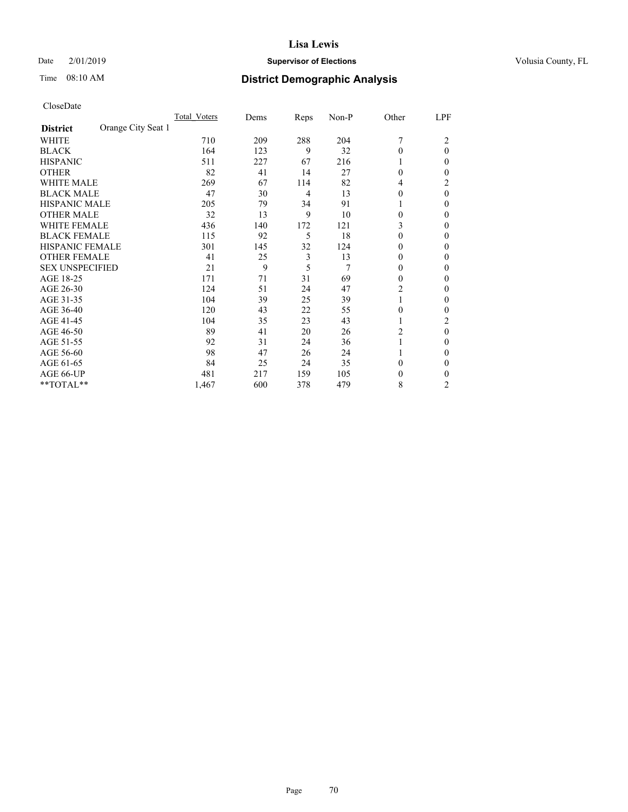Date 2/01/2019

Time 08:10 AM

### **Supervisor of Elections County, FL**

# **District Demographic Analysis**

|                        |                    | Total Voters | Dems | Reps | Non-P | Other          | LPF            |
|------------------------|--------------------|--------------|------|------|-------|----------------|----------------|
| <b>District</b>        | Orange City Seat 1 |              |      |      |       |                |                |
| WHITE                  |                    | 710          | 209  | 288  | 204   | 7              | 2              |
| <b>BLACK</b>           |                    | 164          | 123  | 9    | 32    | $\theta$       | $\theta$       |
| <b>HISPANIC</b>        |                    | 511          | 227  | 67   | 216   | 1              | 0              |
| <b>OTHER</b>           |                    | 82           | 41   | 14   | 27    | $\theta$       | 0              |
| <b>WHITE MALE</b>      |                    | 269          | 67   | 114  | 82    | 4              | 2              |
| <b>BLACK MALE</b>      |                    | 47           | 30   | 4    | 13    | $\theta$       | $\theta$       |
| <b>HISPANIC MALE</b>   |                    | 205          | 79   | 34   | 91    | 1              | 0              |
| <b>OTHER MALE</b>      |                    | 32           | 13   | 9    | 10    | $\theta$       | 0              |
| <b>WHITE FEMALE</b>    |                    | 436          | 140  | 172  | 121   | 3              | 0              |
| <b>BLACK FEMALE</b>    |                    | 115          | 92   | 5    | 18    | $\theta$       | 0              |
| <b>HISPANIC FEMALE</b> |                    | 301          | 145  | 32   | 124   | $\Omega$       | 0              |
| <b>OTHER FEMALE</b>    |                    | 41           | 25   | 3    | 13    | $\theta$       | 0              |
| <b>SEX UNSPECIFIED</b> |                    | 21           | 9    | 5    | 7     | $\theta$       | 0              |
| AGE 18-25              |                    | 171          | 71   | 31   | 69    | $\theta$       | 0              |
| AGE 26-30              |                    | 124          | 51   | 24   | 47    | $\overline{c}$ | $\mathbf{0}$   |
| AGE 31-35              |                    | 104          | 39   | 25   | 39    | 1              | 0              |
| AGE 36-40              |                    | 120          | 43   | 22   | 55    | $\theta$       | 0              |
| AGE 41-45              |                    | 104          | 35   | 23   | 43    | 1              | 2              |
| AGE 46-50              |                    | 89           | 41   | 20   | 26    | 2              | $\theta$       |
| AGE 51-55              |                    | 92           | 31   | 24   | 36    |                | 0              |
| AGE 56-60              |                    | 98           | 47   | 26   | 24    |                | 0              |
| AGE 61-65              |                    | 84           | 25   | 24   | 35    | $\theta$       | 0              |
| AGE 66-UP              |                    | 481          | 217  | 159  | 105   | $\theta$       | 0              |
| **TOTAL**              |                    | 1,467        | 600  | 378  | 479   | 8              | $\overline{2}$ |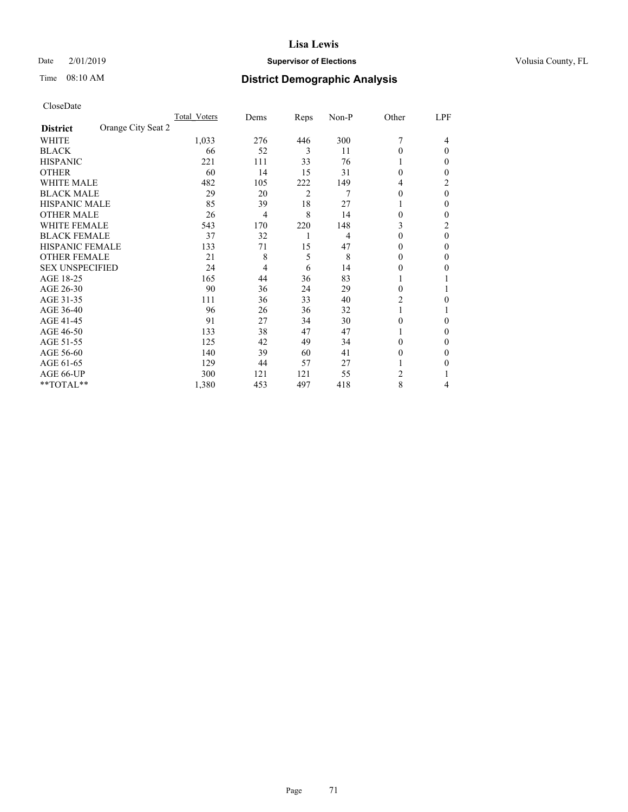Date 2/01/2019

Time 08:10 AM

### **Supervisor of Elections County, FL**

# **District Demographic Analysis**

|                                       | Total Voters | Dems           | Reps           | Non-P | Other    | LPF    |
|---------------------------------------|--------------|----------------|----------------|-------|----------|--------|
| Orange City Seat 2<br><b>District</b> |              |                |                |       |          |        |
| WHITE                                 | 1,033        | 276            | 446            | 300   | 7        | 4      |
| <b>BLACK</b>                          | 66           | 52             | 3              | 11    | 0        | 0      |
| <b>HISPANIC</b>                       | 221          | 111            | 33             | 76    |          | $_{0}$ |
| <b>OTHER</b>                          | 60           | 14             | 15             | 31    | 0        | 0      |
| WHITE MALE                            | 482          | 105            | 222            | 149   | 4        | 2      |
| <b>BLACK MALE</b>                     | 29           | 20             | $\overline{2}$ | 7     | 0        | 0      |
| <b>HISPANIC MALE</b>                  | 85           | 39             | 18             | 27    |          | 0      |
| <b>OTHER MALE</b>                     | 26           | $\overline{4}$ | 8              | 14    | 0        | 0      |
| WHITE FEMALE                          | 543          | 170            | 220            | 148   | 3        | 2      |
| <b>BLACK FEMALE</b>                   | 37           | 32             | 1              | 4     | 0        | 0      |
| <b>HISPANIC FEMALE</b>                | 133          | 71             | 15             | 47    | 0        | 0      |
| <b>OTHER FEMALE</b>                   | 21           | 8              | 5              | 8     | $_{0}$   | 0      |
| <b>SEX UNSPECIFIED</b>                | 24           | $\overline{4}$ | 6              | 14    | 0        | 0      |
| AGE 18-25                             | 165          | 44             | 36             | 83    |          |        |
| AGE 26-30                             | 90           | 36             | 24             | 29    | $\Omega$ |        |
| AGE 31-35                             | 111          | 36             | 33             | 40    | 2        | 0      |
| AGE 36-40                             | 96           | 26             | 36             | 32    |          |        |
| AGE 41-45                             | 91           | 27             | 34             | 30    | 0        | 0      |
| AGE 46-50                             | 133          | 38             | 47             | 47    |          | 0      |
| AGE 51-55                             | 125          | 42             | 49             | 34    | 0        | 0      |
| AGE 56-60                             | 140          | 39             | 60             | 41    | $_{0}$   | 0      |
| AGE 61-65                             | 129          | 44             | 57             | 27    |          | 0      |
| AGE 66-UP                             | 300          | 121            | 121            | 55    | 2        |        |
| **TOTAL**                             | 1,380        | 453            | 497            | 418   | 8        | 4      |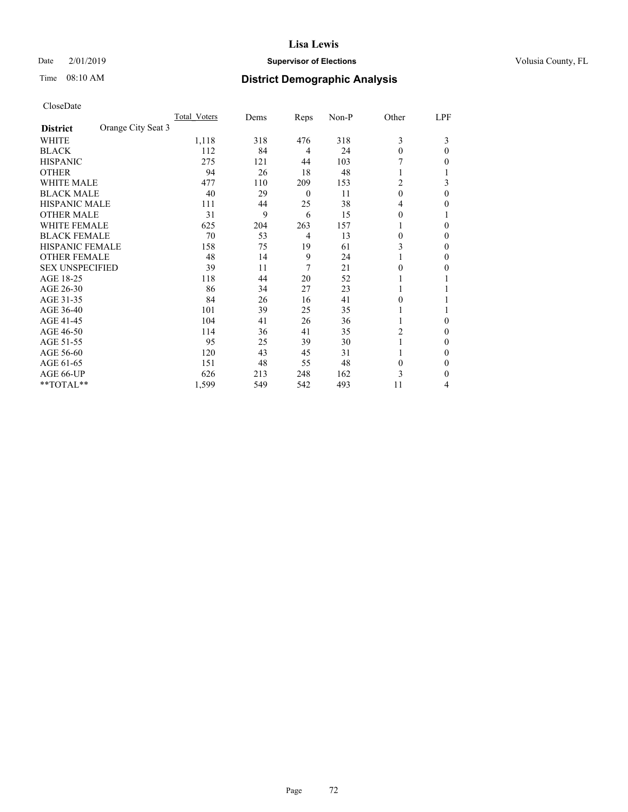Date 2/01/2019

Time 08:10 AM

### **Supervisor of Elections County, FL**

### **District Demographic Analysis**

|                        |                    | Total Voters | Dems | Reps     | Non-P | Other    | LPF      |
|------------------------|--------------------|--------------|------|----------|-------|----------|----------|
| <b>District</b>        | Orange City Seat 3 |              |      |          |       |          |          |
| WHITE                  |                    | 1,118        | 318  | 476      | 318   | 3        | 3        |
| <b>BLACK</b>           |                    | 112          | 84   | 4        | 24    | $\theta$ | 0        |
| <b>HISPANIC</b>        |                    | 275          | 121  | 44       | 103   |          | 0        |
| <b>OTHER</b>           |                    | 94           | 26   | 18       | 48    |          |          |
| WHITE MALE             |                    | 477          | 110  | 209      | 153   | 2        | 3        |
| <b>BLACK MALE</b>      |                    | 40           | 29   | $\theta$ | 11    | $\theta$ | $\Omega$ |
| <b>HISPANIC MALE</b>   |                    | 111          | 44   | 25       | 38    | 4        | 0        |
| <b>OTHER MALE</b>      |                    | 31           | 9    | 6        | 15    | 0        |          |
| WHITE FEMALE           |                    | 625          | 204  | 263      | 157   |          | 0        |
| <b>BLACK FEMALE</b>    |                    | 70           | 53   | 4        | 13    | 0        | 0        |
| <b>HISPANIC FEMALE</b> |                    | 158          | 75   | 19       | 61    | 3        | 0        |
| <b>OTHER FEMALE</b>    |                    | 48           | 14   | 9        | 24    |          | 0        |
| <b>SEX UNSPECIFIED</b> |                    | 39           | 11   | 7        | 21    | 0        | 0        |
| AGE 18-25              |                    | 118          | 44   | 20       | 52    |          |          |
| AGE 26-30              |                    | 86           | 34   | 27       | 23    |          |          |
| AGE 31-35              |                    | 84           | 26   | 16       | 41    | 0        |          |
| AGE 36-40              |                    | 101          | 39   | 25       | 35    |          |          |
| AGE 41-45              |                    | 104          | 41   | 26       | 36    |          | 0        |
| AGE 46-50              |                    | 114          | 36   | 41       | 35    | 2        | 0        |
| AGE 51-55              |                    | 95           | 25   | 39       | 30    |          | 0        |
| AGE 56-60              |                    | 120          | 43   | 45       | 31    |          | 0        |
| AGE 61-65              |                    | 151          | 48   | 55       | 48    | $\theta$ | 0        |
| AGE 66-UP              |                    | 626          | 213  | 248      | 162   | 3        | 0        |
| **TOTAL**              |                    | 1,599        | 549  | 542      | 493   | 11       | 4        |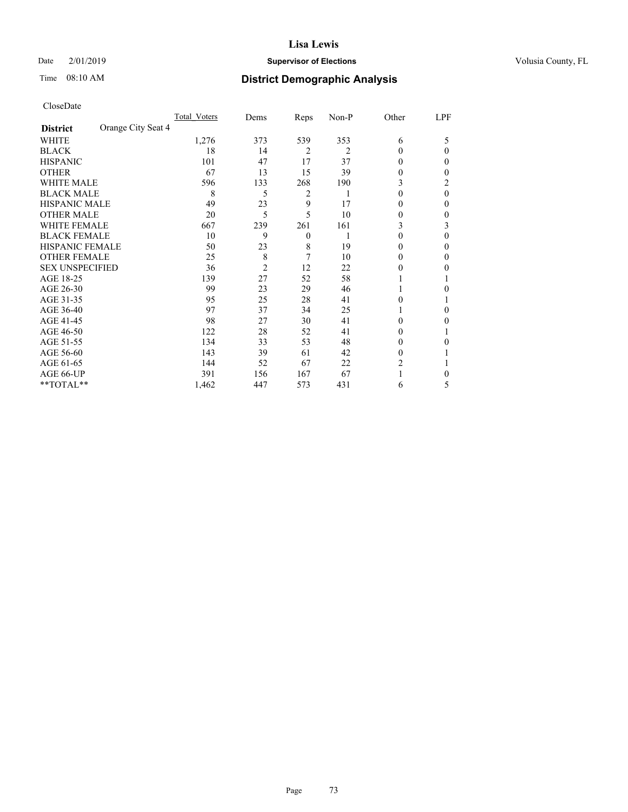Date 2/01/2019

Time 08:10 AM

### **Supervisor of Elections County, FL**

# **District Demographic Analysis**

|                        |                    | Total Voters | Dems           | Reps           | Non-P | Other    | LPF |
|------------------------|--------------------|--------------|----------------|----------------|-------|----------|-----|
| <b>District</b>        | Orange City Seat 4 |              |                |                |       |          |     |
| WHITE                  |                    | 1,276        | 373            | 539            | 353   | 6        | 5   |
| <b>BLACK</b>           |                    | 18           | 14             | $\overline{2}$ | 2     | 0        | 0   |
| <b>HISPANIC</b>        |                    | 101          | 47             | 17             | 37    | $_{0}$   | 0   |
| <b>OTHER</b>           |                    | 67           | 13             | 15             | 39    | 0        | 0   |
| WHITE MALE             |                    | 596          | 133            | 268            | 190   | 3        | 2   |
| <b>BLACK MALE</b>      |                    | 8            | 5              | 2              |       | $\Omega$ | 0   |
| <b>HISPANIC MALE</b>   |                    | 49           | 23             | 9              | 17    | 0        | 0   |
| <b>OTHER MALE</b>      |                    | 20           | 5              | 5              | 10    | 0        | 0   |
| WHITE FEMALE           |                    | 667          | 239            | 261            | 161   | 3        | 3   |
| <b>BLACK FEMALE</b>    |                    | 10           | 9              | $\overline{0}$ |       | 0        | 0   |
| <b>HISPANIC FEMALE</b> |                    | 50           | 23             | 8              | 19    | 0        | 0   |
| <b>OTHER FEMALE</b>    |                    | 25           | 8              | 7              | 10    | $_{0}$   | 0   |
| <b>SEX UNSPECIFIED</b> |                    | 36           | $\overline{c}$ | 12             | 22    | $_{0}$   | 0   |
| AGE 18-25              |                    | 139          | 27             | 52             | 58    |          |     |
| AGE 26-30              |                    | 99           | 23             | 29             | 46    |          | 0   |
| AGE 31-35              |                    | 95           | 25             | 28             | 41    | 0        |     |
| AGE 36-40              |                    | 97           | 37             | 34             | 25    |          | 0   |
| AGE 41-45              |                    | 98           | 27             | 30             | 41    | 0        | 0   |
| AGE 46-50              |                    | 122          | 28             | 52             | 41    | $\theta$ |     |
| AGE 51-55              |                    | 134          | 33             | 53             | 48    | $_{0}$   | 0   |
| AGE 56-60              |                    | 143          | 39             | 61             | 42    | $_{0}$   |     |
| AGE 61-65              |                    | 144          | 52             | 67             | 22    | 2        |     |
| AGE 66-UP              |                    | 391          | 156            | 167            | 67    |          | 0   |
| **TOTAL**              |                    | 1,462        | 447            | 573            | 431   | 6        | 5   |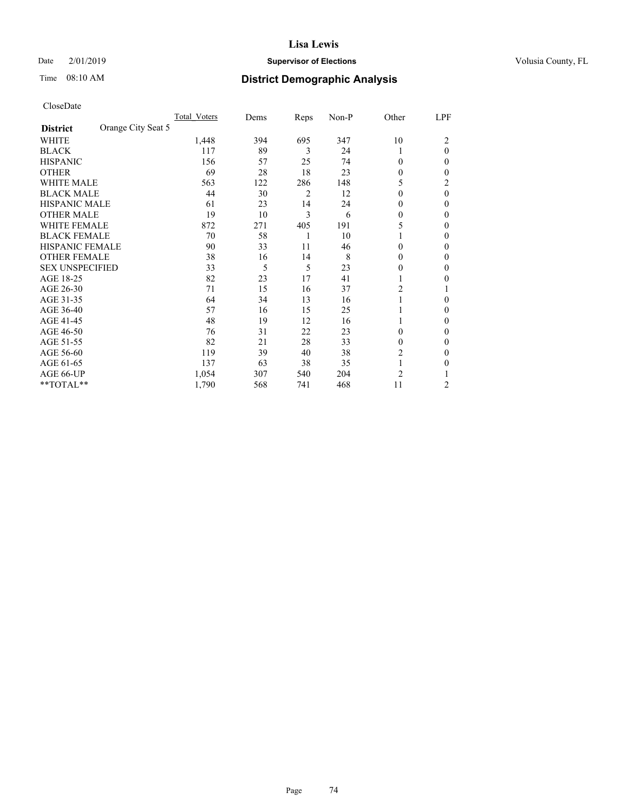Date 2/01/2019

Time 08:10 AM

# **Supervisor of Elections County, FL**

# **District Demographic Analysis**

|                        | Total Voters       | Dems | Reps | Non-P | Other    | LPF      |
|------------------------|--------------------|------|------|-------|----------|----------|
| <b>District</b>        | Orange City Seat 5 |      |      |       |          |          |
| WHITE                  | 1,448              | 394  | 695  | 347   | 10       | 2        |
| <b>BLACK</b>           | 117                | 89   | 3    | 24    | 1        | $\theta$ |
| <b>HISPANIC</b>        | 156                | 57   | 25   | 74    | $\Omega$ | 0        |
| <b>OTHER</b>           | 69                 | 28   | 18   | 23    | $\theta$ | 0        |
| WHITE MALE             | 563                | 122  | 286  | 148   | 5        | 2        |
| <b>BLACK MALE</b>      | 44                 | 30   | 2    | 12    | $\Omega$ | $\theta$ |
| <b>HISPANIC MALE</b>   | 61                 | 23   | 14   | 24    | $\theta$ | 0        |
| <b>OTHER MALE</b>      | 19                 | 10   | 3    | 6     | $\Omega$ | 0        |
| WHITE FEMALE           | 872                | 271  | 405  | 191   | 5        | 0        |
| <b>BLACK FEMALE</b>    | 70                 | 58   | 1    | 10    |          | 0        |
| <b>HISPANIC FEMALE</b> | 90                 | 33   | 11   | 46    | $\Omega$ | 0        |
| <b>OTHER FEMALE</b>    | 38                 | 16   | 14   | 8     | $\Omega$ | 0        |
| <b>SEX UNSPECIFIED</b> | 33                 | 5    | 5    | 23    | 0        | 0        |
| AGE 18-25              | 82                 | 23   | 17   | 41    |          | 0        |
| AGE 26-30              | 71                 | 15   | 16   | 37    | 2        |          |
| AGE 31-35              | 64                 | 34   | 13   | 16    |          | 0        |
| AGE 36-40              | 57                 | 16   | 15   | 25    |          | 0        |
| AGE 41-45              | 48                 | 19   | 12   | 16    |          | 0        |
| AGE 46-50              | 76                 | 31   | 22   | 23    | $\Omega$ | 0        |
| AGE 51-55              | 82                 | 21   | 28   | 33    | $\Omega$ | 0        |
| AGE 56-60              | 119                | 39   | 40   | 38    | 2        | 0        |
| AGE 61-65              | 137                | 63   | 38   | 35    | 1        | 0        |
| AGE 66-UP              | 1,054              | 307  | 540  | 204   | 2        |          |
| **TOTAL**              | 1,790              | 568  | 741  | 468   | 11       | 2        |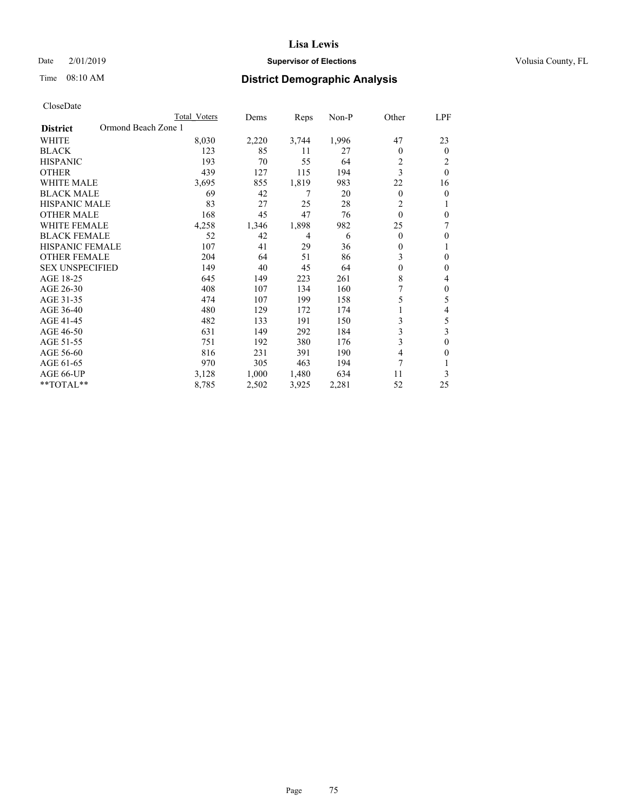Time 08:10 AM

#### **Lisa Lewis**

# **Supervisor of Elections County, FL**

# **District Demographic Analysis**

|                                        | Total Voters | Dems  | Reps           | $Non-P$ | Other          | LPF      |
|----------------------------------------|--------------|-------|----------------|---------|----------------|----------|
| Ormond Beach Zone 1<br><b>District</b> |              |       |                |         |                |          |
| <b>WHITE</b>                           | 8,030        | 2,220 | 3,744          | 1,996   | 47             | 23       |
| <b>BLACK</b>                           | 123          | 85    | 11             | 27      | 0              | $\theta$ |
| <b>HISPANIC</b>                        | 193          | 70    | 55             | 64      | 2              | 2        |
| <b>OTHER</b>                           | 439          | 127   | 115            | 194     | 3              | $\theta$ |
| <b>WHITE MALE</b>                      | 3,695        | 855   | 1,819          | 983     | 22             | 16       |
| <b>BLACK MALE</b>                      | 69           | 42    | 7              | 20      | $\overline{0}$ | $\theta$ |
| HISPANIC MALE                          | 83           | 27    | 25             | 28      | 2              | 1        |
| <b>OTHER MALE</b>                      | 168          | 45    | 47             | 76      | $\theta$       | $\theta$ |
| <b>WHITE FEMALE</b>                    | 4,258        | 1,346 | 1,898          | 982     | 25             | 7        |
| <b>BLACK FEMALE</b>                    | 52           | 42    | $\overline{4}$ | 6       | 0              | $\theta$ |
| <b>HISPANIC FEMALE</b>                 | 107          | 41    | 29             | 36      | $\mathbf{0}$   | 1        |
| <b>OTHER FEMALE</b>                    | 204          | 64    | 51             | 86      | 3              | $\theta$ |
| <b>SEX UNSPECIFIED</b>                 | 149          | 40    | 45             | 64      | $\theta$       | $\theta$ |
| AGE 18-25                              | 645          | 149   | 223            | 261     | 8              | 4        |
| AGE 26-30                              | 408          | 107   | 134            | 160     |                | $\theta$ |
| AGE 31-35                              | 474          | 107   | 199            | 158     | 5              | 5        |
| AGE 36-40                              | 480          | 129   | 172            | 174     |                | 4        |
| AGE 41-45                              | 482          | 133   | 191            | 150     | 3              | 5        |
| AGE 46-50                              | 631          | 149   | 292            | 184     | 3              | 3        |
| AGE 51-55                              | 751          | 192   | 380            | 176     | 3              | $\theta$ |
| AGE 56-60                              | 816          | 231   | 391            | 190     | 4              | 0        |
| AGE 61-65                              | 970          | 305   | 463            | 194     | 7              |          |
| AGE 66-UP                              | 3,128        | 1,000 | 1,480          | 634     | 11             | 3        |
| $*$ TOTAL $*$                          | 8,785        | 2,502 | 3,925          | 2,281   | 52             | 25       |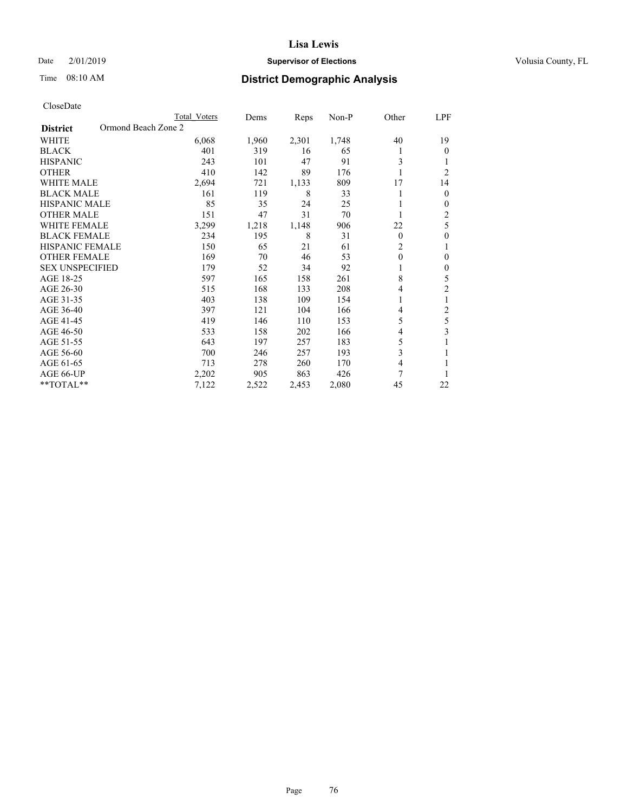Date 2/01/2019

Time 08:10 AM

# **Supervisor of Elections County, FL**

# **District Demographic Analysis**

|                        | Total Voters        | Dems  | Reps  | $Non-P$ | Other        | LPF                     |
|------------------------|---------------------|-------|-------|---------|--------------|-------------------------|
| <b>District</b>        | Ormond Beach Zone 2 |       |       |         |              |                         |
| WHITE                  | 6,068               | 1,960 | 2,301 | 1,748   | 40           | 19                      |
| <b>BLACK</b>           | 401                 | 319   | 16    | 65      | 1            | $\mathbf{0}$            |
| <b>HISPANIC</b>        | 243                 | 101   | 47    | 91      | 3            | 1                       |
| <b>OTHER</b>           | 410                 | 142   | 89    | 176     |              | $\overline{2}$          |
| <b>WHITE MALE</b>      | 2,694               | 721   | 1,133 | 809     | 17           | 14                      |
| <b>BLACK MALE</b>      | 161                 | 119   | 8     | 33      |              | $\mathbf{0}$            |
| HISPANIC MALE          | 85                  | 35    | 24    | 25      |              | $\mathbf{0}$            |
| <b>OTHER MALE</b>      | 151                 | 47    | 31    | 70      |              | $\overline{c}$          |
| <b>WHITE FEMALE</b>    | 3,299               | 1,218 | 1,148 | 906     | 22           | 5                       |
| <b>BLACK FEMALE</b>    | 234                 | 195   | 8     | 31      | $\mathbf{0}$ | $\mathbf{0}$            |
| <b>HISPANIC FEMALE</b> | 150                 | 65    | 21    | 61      | 2            | 1                       |
| <b>OTHER FEMALE</b>    | 169                 | 70    | 46    | 53      | 0            | $\boldsymbol{0}$        |
| <b>SEX UNSPECIFIED</b> | 179                 | 52    | 34    | 92      |              | $\boldsymbol{0}$        |
| AGE 18-25              | 597                 | 165   | 158   | 261     | 8            | 5                       |
| AGE 26-30              | 515                 | 168   | 133   | 208     | 4            | 2                       |
| AGE 31-35              | 403                 | 138   | 109   | 154     | 1            | 1                       |
| AGE 36-40              | 397                 | 121   | 104   | 166     | 4            | $\overline{c}$          |
| AGE 41-45              | 419                 | 146   | 110   | 153     | 5            | 5                       |
| AGE 46-50              | 533                 | 158   | 202   | 166     | 4            | $\overline{\mathbf{3}}$ |
| AGE 51-55              | 643                 | 197   | 257   | 183     | 5            |                         |
| AGE 56-60              | 700                 | 246   | 257   | 193     | 3            | 1                       |
| AGE 61-65              | 713                 | 278   | 260   | 170     | 4            |                         |
| AGE 66-UP              | 2,202               | 905   | 863   | 426     | 7            |                         |
| $*$ TOTAL $*$          | 7,122               | 2,522 | 2,453 | 2,080   | 45           | 22                      |
|                        |                     |       |       |         |              |                         |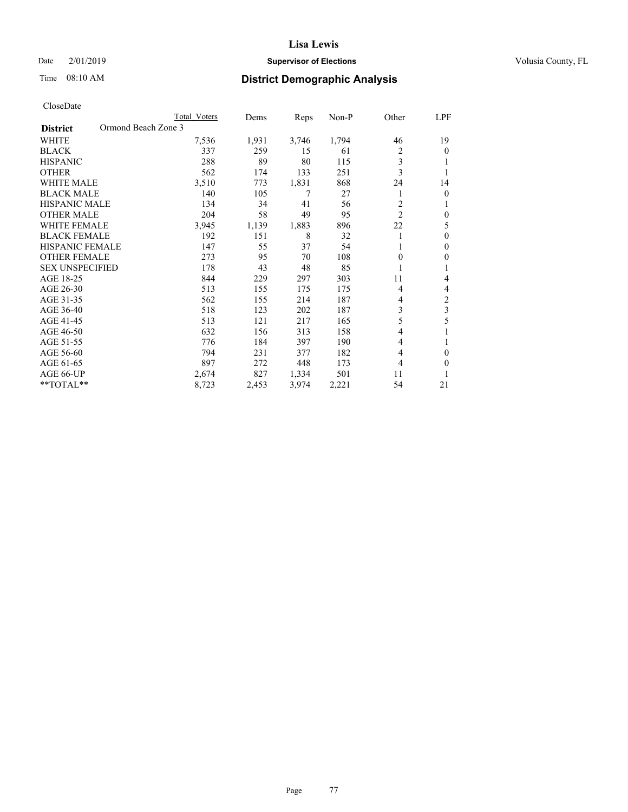Date 2/01/2019

Time 08:10 AM

### **Supervisor of Elections County, FL**

# **District Demographic Analysis**

|                                        | Total Voters | Dems  | Reps  | Non-P | Other | LPF            |
|----------------------------------------|--------------|-------|-------|-------|-------|----------------|
| Ormond Beach Zone 3<br><b>District</b> |              |       |       |       |       |                |
| WHITE                                  | 7,536        | 1,931 | 3,746 | 1,794 | 46    | 19             |
| <b>BLACK</b>                           | 337          | 259   | 15    | 61    | 2     | $\theta$       |
| <b>HISPANIC</b>                        | 288          | 89    | 80    | 115   | 3     | 1              |
| <b>OTHER</b>                           | 562          | 174   | 133   | 251   | 3     |                |
| WHITE MALE                             | 3,510        | 773   | 1,831 | 868   | 24    | 14             |
| <b>BLACK MALE</b>                      | 140          | 105   | 7     | 27    |       | $\mathbf{0}$   |
| <b>HISPANIC MALE</b>                   | 134          | 34    | 41    | 56    | 2     | 1              |
| <b>OTHER MALE</b>                      | 204          | 58    | 49    | 95    | 2     | $\mathbf{0}$   |
| WHITE FEMALE                           | 3,945        | 1,139 | 1,883 | 896   | 22    | 5              |
| <b>BLACK FEMALE</b>                    | 192          | 151   | 8     | 32    |       | $\theta$       |
| <b>HISPANIC FEMALE</b>                 | 147          | 55    | 37    | 54    |       | $\Omega$       |
| <b>OTHER FEMALE</b>                    | 273          | 95    | 70    | 108   | 0     | $\theta$       |
| <b>SEX UNSPECIFIED</b>                 | 178          | 43    | 48    | 85    |       | 1              |
| AGE 18-25                              | 844          | 229   | 297   | 303   | 11    | 4              |
| AGE 26-30                              | 513          | 155   | 175   | 175   | 4     | 4              |
| AGE 31-35                              | 562          | 155   | 214   | 187   | 4     | $\overline{c}$ |
| AGE 36-40                              | 518          | 123   | 202   | 187   | 3     | 3              |
| AGE 41-45                              | 513          | 121   | 217   | 165   | 5     | 5              |
| AGE 46-50                              | 632          | 156   | 313   | 158   | 4     |                |
| AGE 51-55                              | 776          | 184   | 397   | 190   | 4     | 1              |
| AGE 56-60                              | 794          | 231   | 377   | 182   | 4     | 0              |
| AGE 61-65                              | 897          | 272   | 448   | 173   | 4     | 0              |
| AGE 66-UP                              | 2,674        | 827   | 1,334 | 501   | 11    |                |
| **TOTAL**                              | 8,723        | 2,453 | 3,974 | 2,221 | 54    | 21             |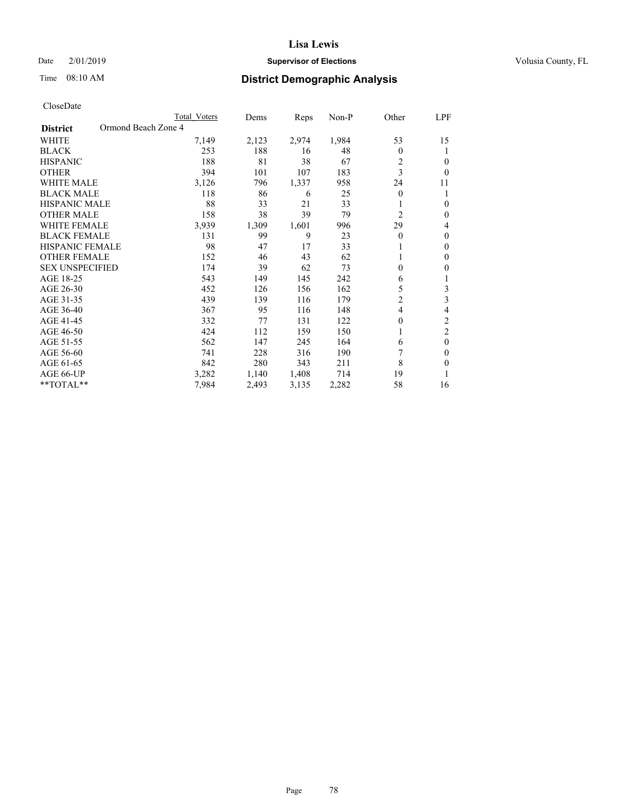Time 08:10 AM

### **Lisa Lewis**

# **Supervisor of Elections County, FL**

# **District Demographic Analysis**

|                                        | Total Voters | Dems  | Reps  | $Non-P$ | Other            | LPF            |
|----------------------------------------|--------------|-------|-------|---------|------------------|----------------|
| Ormond Beach Zone 4<br><b>District</b> |              |       |       |         |                  |                |
| WHITE                                  | 7,149        | 2,123 | 2,974 | 1,984   | 53               | 15             |
| <b>BLACK</b>                           | 253          | 188   | 16    | 48      | 0                | 1              |
| <b>HISPANIC</b>                        | 188          | 81    | 38    | 67      | 2                | 0              |
| <b>OTHER</b>                           | 394          | 101   | 107   | 183     | 3                | $\theta$       |
| <b>WHITE MALE</b>                      | 3,126        | 796   | 1,337 | 958     | 24               | 11             |
| <b>BLACK MALE</b>                      | 118          | 86    | 6     | 25      | 0                | 1              |
| HISPANIC MALE                          | 88           | 33    | 21    | 33      |                  | $\theta$       |
| <b>OTHER MALE</b>                      | 158          | 38    | 39    | 79      | $\overline{c}$   | $\theta$       |
| WHITE FEMALE                           | 3,939        | 1,309 | 1,601 | 996     | 29               | 4              |
| <b>BLACK FEMALE</b>                    | 131          | 99    | 9     | 23      | $\theta$         | $\theta$       |
| <b>HISPANIC FEMALE</b>                 | 98           | 47    | 17    | 33      | 1                | $\mathbf{0}$   |
| <b>OTHER FEMALE</b>                    | 152          | 46    | 43    | 62      | 1                | $\mathbf{0}$   |
| <b>SEX UNSPECIFIED</b>                 | 174          | 39    | 62    | 73      | $\boldsymbol{0}$ | 0              |
| AGE 18-25                              | 543          | 149   | 145   | 242     | 6                | 1              |
| AGE 26-30                              | 452          | 126   | 156   | 162     | 5                | 3              |
| AGE 31-35                              | 439          | 139   | 116   | 179     | $\overline{2}$   | 3              |
| AGE 36-40                              | 367          | 95    | 116   | 148     | 4                | 4              |
| AGE 41-45                              | 332          | 77    | 131   | 122     | $\theta$         | $\mathfrak{2}$ |
| AGE 46-50                              | 424          | 112   | 159   | 150     |                  | $\overline{2}$ |
| AGE 51-55                              | 562          | 147   | 245   | 164     | 6                | $\theta$       |
| AGE 56-60                              | 741          | 228   | 316   | 190     | 7                | $\Omega$       |
| AGE 61-65                              | 842          | 280   | 343   | 211     | 8                | 0              |
| AGE 66-UP                              | 3,282        | 1,140 | 1,408 | 714     | 19               | 1              |
| $*$ TOTAL $*$                          | 7,984        | 2,493 | 3,135 | 2,282   | 58               | 16             |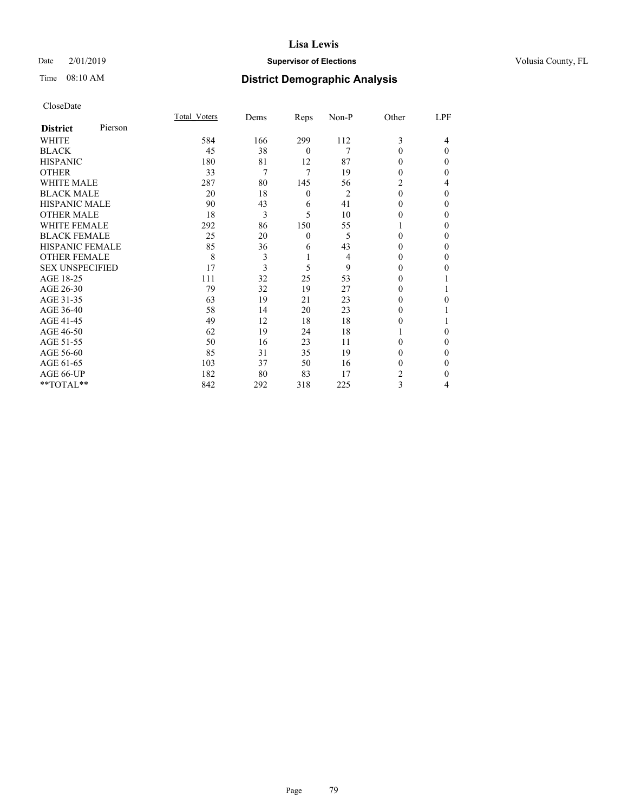Date 2/01/2019

Time 08:10 AM

# **Supervisor of Elections County, FL**

# **District Demographic Analysis**

|                        |         | Total Voters | Dems | Reps     | Non-P          | Other    | LPF      |
|------------------------|---------|--------------|------|----------|----------------|----------|----------|
| <b>District</b>        | Pierson |              |      |          |                |          |          |
| WHITE                  |         | 584          | 166  | 299      | 112            | 3        | 4        |
| <b>BLACK</b>           |         | 45           | 38   | $\theta$ | 7              | $\theta$ | $\theta$ |
| <b>HISPANIC</b>        |         | 180          | 81   | 12       | 87             | 0        | 0        |
| <b>OTHER</b>           |         | 33           | 7    | 7        | 19             | 0        | 0        |
| WHITE MALE             |         | 287          | 80   | 145      | 56             | 2        | 4        |
| <b>BLACK MALE</b>      |         | 20           | 18   | $\theta$ | $\overline{2}$ | $\theta$ | $\Omega$ |
| <b>HISPANIC MALE</b>   |         | 90           | 43   | 6        | 41             | 0        | 0        |
| <b>OTHER MALE</b>      |         | 18           | 3    | 5        | 10             | 0        | 0        |
| <b>WHITE FEMALE</b>    |         | 292          | 86   | 150      | 55             |          | 0        |
| <b>BLACK FEMALE</b>    |         | 25           | 20   | $\theta$ | 5              | 0        | 0        |
| <b>HISPANIC FEMALE</b> |         | 85           | 36   | 6        | 43             | 0        | 0        |
| <b>OTHER FEMALE</b>    |         | 8            | 3    | 1        | 4              | 0        | 0        |
| <b>SEX UNSPECIFIED</b> |         | 17           | 3    | 5        | 9              | $\Omega$ | 0        |
| AGE 18-25              |         | 111          | 32   | 25       | 53             | $_{0}$   |          |
| AGE 26-30              |         | 79           | 32   | 19       | 27             | 0        |          |
| AGE 31-35              |         | 63           | 19   | 21       | 23             | 0        | 0        |
| AGE 36-40              |         | 58           | 14   | 20       | 23             | 0        |          |
| AGE 41-45              |         | 49           | 12   | 18       | 18             | 0        |          |
| AGE 46-50              |         | 62           | 19   | 24       | 18             |          | 0        |
| AGE 51-55              |         | 50           | 16   | 23       | 11             | 0        | $\Omega$ |
| AGE 56-60              |         | 85           | 31   | 35       | 19             | 0        | 0        |
| AGE 61-65              |         | 103          | 37   | 50       | 16             | 0        | 0        |
| AGE 66-UP              |         | 182          | 80   | 83       | 17             | 2        | 0        |
| **TOTAL**              |         | 842          | 292  | 318      | 225            | 3        | 4        |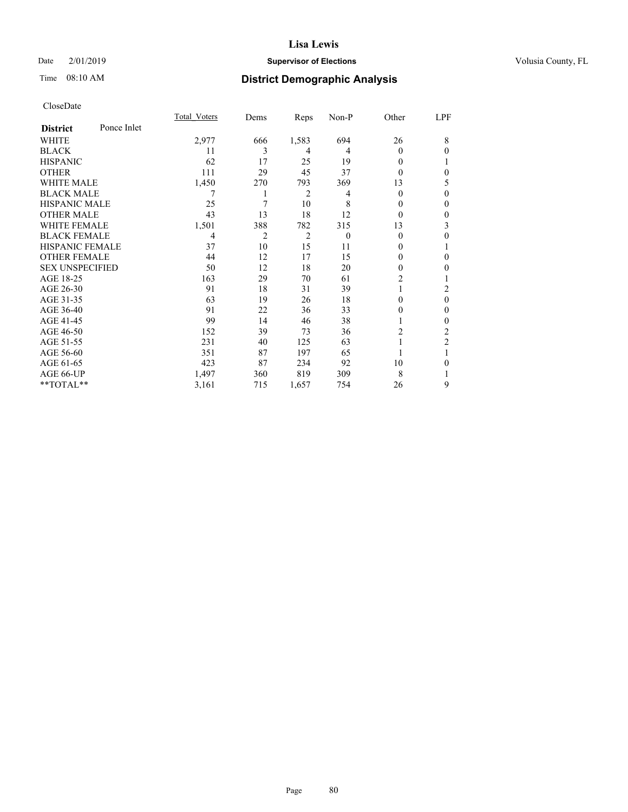Date 2/01/2019

Time 08:10 AM

### **Supervisor of Elections County, FL**

# **District Demographic Analysis**

|                        |             | Total Voters | Dems | Reps  | Non-P    | Other          | LPF            |
|------------------------|-------------|--------------|------|-------|----------|----------------|----------------|
| <b>District</b>        | Ponce Inlet |              |      |       |          |                |                |
| WHITE                  |             | 2,977        | 666  | 1,583 | 694      | 26             | 8              |
| <b>BLACK</b>           |             | 11           | 3    | 4     | 4        | 0              | $\Omega$       |
| <b>HISPANIC</b>        |             | 62           | 17   | 25    | 19       | 0              |                |
| <b>OTHER</b>           |             | 111          | 29   | 45    | 37       | 0              | $\theta$       |
| WHITE MALE             |             | 1,450        | 270  | 793   | 369      | 13             | 5              |
| <b>BLACK MALE</b>      |             |              |      | 2     | 4        | 0              | $\theta$       |
| <b>HISPANIC MALE</b>   |             | 25           | 7    | 10    | 8        | $_{0}$         | $\theta$       |
| <b>OTHER MALE</b>      |             | 43           | 13   | 18    | 12       | $\theta$       | $\mathbf{0}$   |
| <b>WHITE FEMALE</b>    |             | 1,501        | 388  | 782   | 315      | 13             | 3              |
| <b>BLACK FEMALE</b>    |             | 4            | 2    | 2     | $\theta$ | $\theta$       | $\theta$       |
| <b>HISPANIC FEMALE</b> |             | 37           | 10   | 15    | 11       | $_{0}$         |                |
| <b>OTHER FEMALE</b>    |             | 44           | 12   | 17    | 15       | 0              | $\theta$       |
| <b>SEX UNSPECIFIED</b> |             | 50           | 12   | 18    | 20       | 0              | $\theta$       |
| AGE 18-25              |             | 163          | 29   | 70    | 61       | $\overline{2}$ |                |
| AGE 26-30              |             | 91           | 18   | 31    | 39       |                | 2              |
| AGE 31-35              |             | 63           | 19   | 26    | 18       | 0              | $\mathbf{0}$   |
| AGE 36-40              |             | 91           | 22   | 36    | 33       | 0              | $\mathbf{0}$   |
| AGE 41-45              |             | 99           | 14   | 46    | 38       |                | $\theta$       |
| AGE 46-50              |             | 152          | 39   | 73    | 36       | 2              | 2              |
| AGE 51-55              |             | 231          | 40   | 125   | 63       |                | $\overline{2}$ |
| AGE 56-60              |             | 351          | 87   | 197   | 65       |                |                |
| AGE 61-65              |             | 423          | 87   | 234   | 92       | 10             | $\theta$       |
| AGE 66-UP              |             | 1,497        | 360  | 819   | 309      | 8              | 1              |
| **TOTAL**              |             | 3,161        | 715  | 1,657 | 754      | 26             | 9              |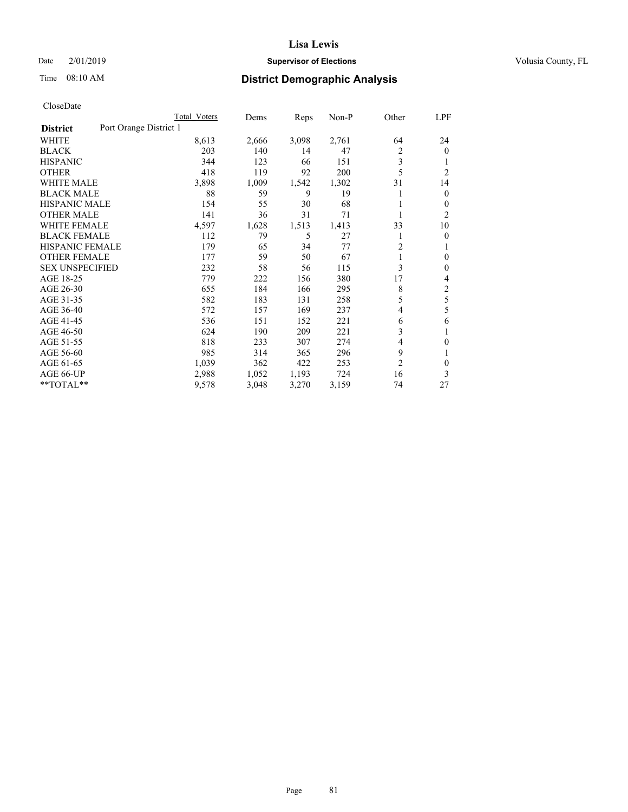Time 08:10 AM

### **Lisa Lewis**

### **Supervisor of Elections County, FL**

# **District Demographic Analysis**

|                        | Total Voters           | Dems  | Reps  | Non-P | Other          | LPF            |
|------------------------|------------------------|-------|-------|-------|----------------|----------------|
| <b>District</b>        | Port Orange District 1 |       |       |       |                |                |
| WHITE                  | 8,613                  | 2,666 | 3,098 | 2,761 | 64             | 24             |
| <b>BLACK</b>           | 203                    | 140   | 14    | 47    | 2              | $\mathbf{0}$   |
| <b>HISPANIC</b>        | 344                    | 123   | 66    | 151   | 3              | 1              |
| <b>OTHER</b>           | 418                    | 119   | 92    | 200   | 5              | $\overline{2}$ |
| WHITE MALE             | 3,898                  | 1,009 | 1,542 | 1,302 | 31             | 14             |
| <b>BLACK MALE</b>      | 88                     | 59    | 9     | 19    |                | $\mathbf{0}$   |
| <b>HISPANIC MALE</b>   | 154                    | 55    | 30    | 68    |                | 0              |
| <b>OTHER MALE</b>      | 141                    | 36    | 31    | 71    | 1              | 2              |
| WHITE FEMALE           | 4,597                  | 1,628 | 1,513 | 1,413 | 33             | 10             |
| <b>BLACK FEMALE</b>    | 112                    | 79    | 5     | 27    |                | 0              |
| <b>HISPANIC FEMALE</b> | 179                    | 65    | 34    | 77    | $\overline{2}$ | 1              |
| <b>OTHER FEMALE</b>    | 177                    | 59    | 50    | 67    | 1              | 0              |
| <b>SEX UNSPECIFIED</b> | 232                    | 58    | 56    | 115   | 3              | $\theta$       |
| AGE 18-25              | 779                    | 222   | 156   | 380   | 17             | 4              |
| AGE 26-30              | 655                    | 184   | 166   | 295   | 8              | $\overline{c}$ |
| AGE 31-35              | 582                    | 183   | 131   | 258   | 5              | 5              |
| AGE 36-40              | 572                    | 157   | 169   | 237   | 4              | 5              |
| AGE 41-45              | 536                    | 151   | 152   | 221   | 6              | 6              |
| AGE 46-50              | 624                    | 190   | 209   | 221   | 3              | 1              |
| AGE 51-55              | 818                    | 233   | 307   | 274   | 4              | 0              |
| AGE 56-60              | 985                    | 314   | 365   | 296   | 9              |                |
| AGE 61-65              | 1,039                  | 362   | 422   | 253   | $\overline{2}$ | $\theta$       |
| AGE 66-UP              | 2,988                  | 1,052 | 1,193 | 724   | 16             | 3              |
| $*$ $TOTAL**$          | 9,578                  | 3,048 | 3,270 | 3,159 | 74             | 27             |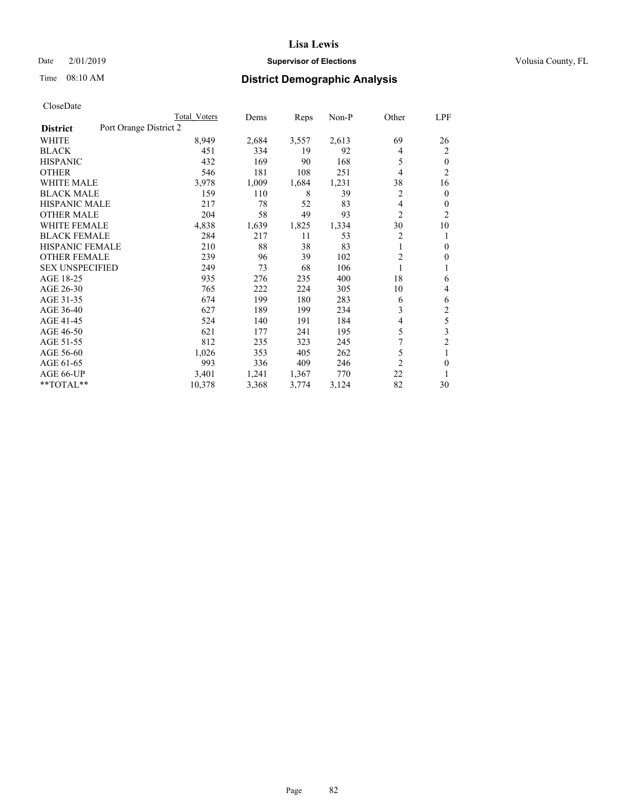Date 2/01/2019

Time 08:10 AM

# **Supervisor of Elections County, FL**

# **District Demographic Analysis**

|                                           | Total Voters | Dems  | Reps  | Non-P | Other          | LPF            |
|-------------------------------------------|--------------|-------|-------|-------|----------------|----------------|
| Port Orange District 2<br><b>District</b> |              |       |       |       |                |                |
| WHITE                                     | 8,949        | 2,684 | 3,557 | 2,613 | 69             | 26             |
| <b>BLACK</b>                              | 451          | 334   | 19    | 92    | 4              | 2              |
| <b>HISPANIC</b>                           | 432          | 169   | 90    | 168   | 5              | $\theta$       |
| <b>OTHER</b>                              | 546          | 181   | 108   | 251   | 4              | $\overline{2}$ |
| <b>WHITE MALE</b>                         | 3,978        | 1,009 | 1,684 | 1,231 | 38             | 16             |
| <b>BLACK MALE</b>                         | 159          | 110   | 8     | 39    | 2              | $\overline{0}$ |
| <b>HISPANIC MALE</b>                      | 217          | 78    | 52    | 83    | 4              | 0              |
| <b>OTHER MALE</b>                         | 204          | 58    | 49    | 93    | $\overline{2}$ | $\overline{2}$ |
| WHITE FEMALE                              | 4,838        | 1,639 | 1,825 | 1,334 | 30             | 10             |
| <b>BLACK FEMALE</b>                       | 284          | 217   | 11    | 53    | $\overline{2}$ | 1              |
| <b>HISPANIC FEMALE</b>                    | 210          | 88    | 38    | 83    | 1              | $\mathbf{0}$   |
| <b>OTHER FEMALE</b>                       | 239          | 96    | 39    | 102   | 2              | 0              |
| <b>SEX UNSPECIFIED</b>                    | 249          | 73    | 68    | 106   | 1              |                |
| AGE 18-25                                 | 935          | 276   | 235   | 400   | 18             | 6              |
| AGE 26-30                                 | 765          | 222   | 224   | 305   | 10             | 4              |
| AGE 31-35                                 | 674          | 199   | 180   | 283   | 6              | 6              |
| AGE 36-40                                 | 627          | 189   | 199   | 234   | 3              | $\overline{2}$ |
| AGE 41-45                                 | 524          | 140   | 191   | 184   | 4              | 5              |
| AGE 46-50                                 | 621          | 177   | 241   | 195   | 5              | 3              |
| AGE 51-55                                 | 812          | 235   | 323   | 245   | 7              | $\overline{c}$ |
| AGE 56-60                                 | 1,026        | 353   | 405   | 262   | 5              | 1              |
| AGE 61-65                                 | 993          | 336   | 409   | 246   | $\overline{2}$ | $\theta$       |
| AGE 66-UP                                 | 3,401        | 1,241 | 1,367 | 770   | 22             | 1              |
| **TOTAL**                                 | 10,378       | 3,368 | 3,774 | 3,124 | 82             | 30             |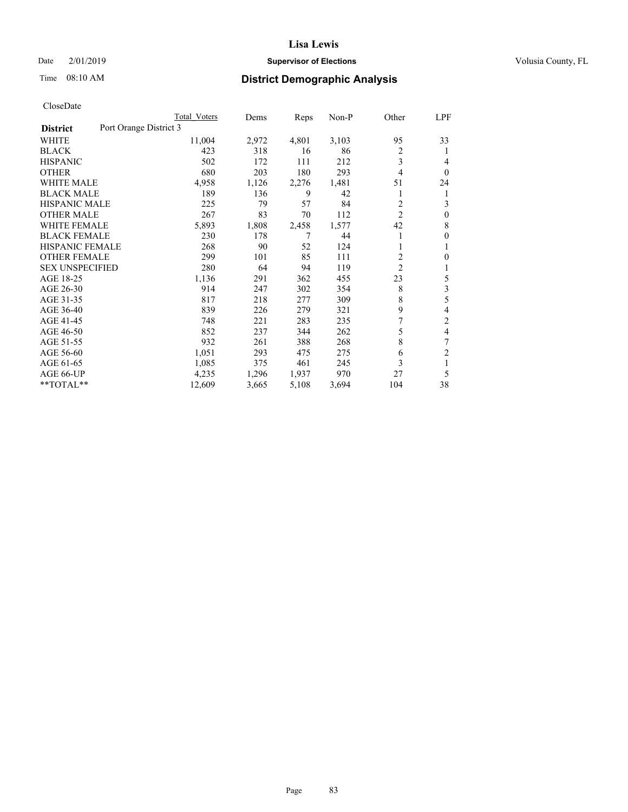Time 08:10 AM

#### **Lisa Lewis**

# **Supervisor of Elections County, FL**

# **District Demographic Analysis**

|                                           | Total Voters | Dems  | Reps  | $Non-P$ | Other          | <u>LPF</u>     |
|-------------------------------------------|--------------|-------|-------|---------|----------------|----------------|
| Port Orange District 3<br><b>District</b> |              |       |       |         |                |                |
| WHITE                                     | 11,004       | 2,972 | 4,801 | 3,103   | 95             | 33             |
| <b>BLACK</b>                              | 423          | 318   | 16    | 86      | 2              | 1              |
| <b>HISPANIC</b>                           | 502          | 172   | 111   | 212     | 3              | 4              |
| <b>OTHER</b>                              | 680          | 203   | 180   | 293     | 4              | $\theta$       |
| <b>WHITE MALE</b>                         | 4,958        | 1,126 | 2,276 | 1,481   | 51             | 24             |
| <b>BLACK MALE</b>                         | 189          | 136   | 9     | 42      | 1              | 1              |
| <b>HISPANIC MALE</b>                      | 225          | 79    | 57    | 84      | 2              | 3              |
| <b>OTHER MALE</b>                         | 267          | 83    | 70    | 112     | $\overline{c}$ | $\mathbf{0}$   |
| <b>WHITE FEMALE</b>                       | 5,893        | 1,808 | 2,458 | 1,577   | 42             | 8              |
| <b>BLACK FEMALE</b>                       | 230          | 178   | 7     | 44      |                | $\theta$       |
| <b>HISPANIC FEMALE</b>                    | 268          | 90    | 52    | 124     | 1              | 1              |
| <b>OTHER FEMALE</b>                       | 299          | 101   | 85    | 111     | 2              | $\Omega$       |
| <b>SEX UNSPECIFIED</b>                    | 280          | 64    | 94    | 119     | $\overline{2}$ | 1              |
| AGE 18-25                                 | 1,136        | 291   | 362   | 455     | 23             | 5              |
| AGE 26-30                                 | 914          | 247   | 302   | 354     | 8              | 3              |
| AGE 31-35                                 | 817          | 218   | 277   | 309     | 8              | 5              |
| AGE 36-40                                 | 839          | 226   | 279   | 321     | 9              | 4              |
| AGE 41-45                                 | 748          | 221   | 283   | 235     | 7              | 2              |
| AGE 46-50                                 | 852          | 237   | 344   | 262     | 5              | 4              |
| AGE 51-55                                 | 932          | 261   | 388   | 268     | 8              | 7              |
| AGE 56-60                                 | 1,051        | 293   | 475   | 275     | 6              | $\overline{2}$ |
| AGE 61-65                                 | 1,085        | 375   | 461   | 245     | 3              | 1              |
| AGE 66-UP                                 | 4,235        | 1,296 | 1,937 | 970     | 27             | 5              |
| **TOTAL**                                 | 12,609       | 3,665 | 5,108 | 3,694   | 104            | 38             |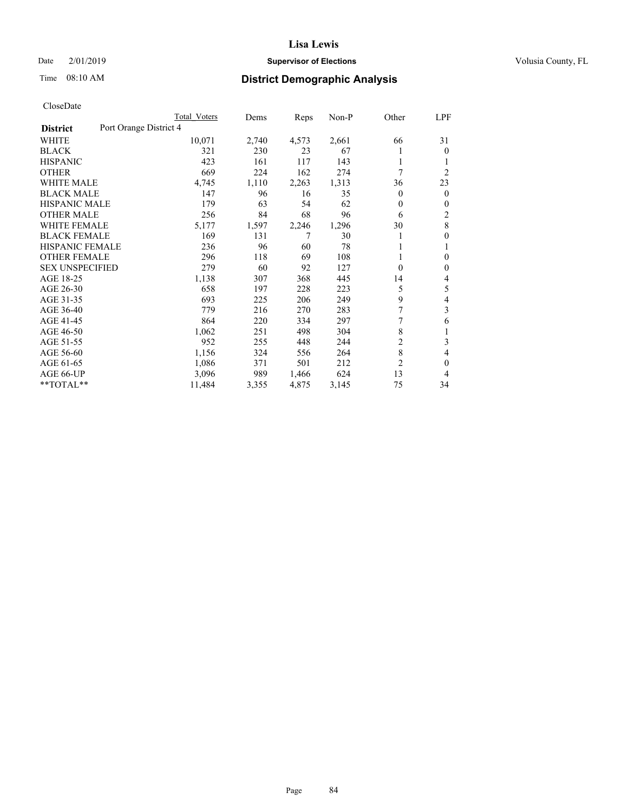Time 08:10 AM

### **Lisa Lewis**

# **Supervisor of Elections County, FL**

# **District Demographic Analysis**

|                        |                        | Total Voters | Dems  | Reps  | Non-P | Other          | LPF            |
|------------------------|------------------------|--------------|-------|-------|-------|----------------|----------------|
| <b>District</b>        | Port Orange District 4 |              |       |       |       |                |                |
| WHITE                  |                        | 10,071       | 2,740 | 4,573 | 2,661 | 66             | 31             |
| <b>BLACK</b>           |                        | 321          | 230   | 23    | 67    |                | $\theta$       |
| <b>HISPANIC</b>        |                        | 423          | 161   | 117   | 143   | 1              | 1              |
| <b>OTHER</b>           |                        | 669          | 224   | 162   | 274   | 7              | $\overline{2}$ |
| <b>WHITE MALE</b>      |                        | 4,745        | 1,110 | 2,263 | 1,313 | 36             | 23             |
| <b>BLACK MALE</b>      |                        | 147          | 96    | 16    | 35    | 0              | $\mathbf{0}$   |
| <b>HISPANIC MALE</b>   |                        | 179          | 63    | 54    | 62    | 0              | $\mathbf{0}$   |
| <b>OTHER MALE</b>      |                        | 256          | 84    | 68    | 96    | 6              | $\overline{2}$ |
| WHITE FEMALE           |                        | 5,177        | 1,597 | 2,246 | 1,296 | 30             | 8              |
| <b>BLACK FEMALE</b>    |                        | 169          | 131   |       | 30    |                | $\mathbf{0}$   |
| <b>HISPANIC FEMALE</b> |                        | 236          | 96    | 60    | 78    |                | 1              |
| <b>OTHER FEMALE</b>    |                        | 296          | 118   | 69    | 108   |                | $\theta$       |
| <b>SEX UNSPECIFIED</b> |                        | 279          | 60    | 92    | 127   | 0              | $\mathbf{0}$   |
| AGE 18-25              |                        | 1,138        | 307   | 368   | 445   | 14             | 4              |
| AGE 26-30              |                        | 658          | 197   | 228   | 223   | 5              | 5              |
| AGE 31-35              |                        | 693          | 225   | 206   | 249   | 9              | 4              |
| AGE 36-40              |                        | 779          | 216   | 270   | 283   | 7              | 3              |
| AGE 41-45              |                        | 864          | 220   | 334   | 297   |                | 6              |
| AGE 46-50              |                        | 1,062        | 251   | 498   | 304   | 8              | 1              |
| AGE 51-55              |                        | 952          | 255   | 448   | 244   | $\overline{c}$ | 3              |
| AGE 56-60              |                        | 1,156        | 324   | 556   | 264   | 8              | 4              |
| AGE 61-65              |                        | 1,086        | 371   | 501   | 212   | $\overline{2}$ | $\mathbf{0}$   |
| AGE 66-UP              |                        | 3,096        | 989   | 1,466 | 624   | 13             | 4              |
| $*$ TOTAL $*$          |                        | 11,484       | 3,355 | 4,875 | 3,145 | 75             | 34             |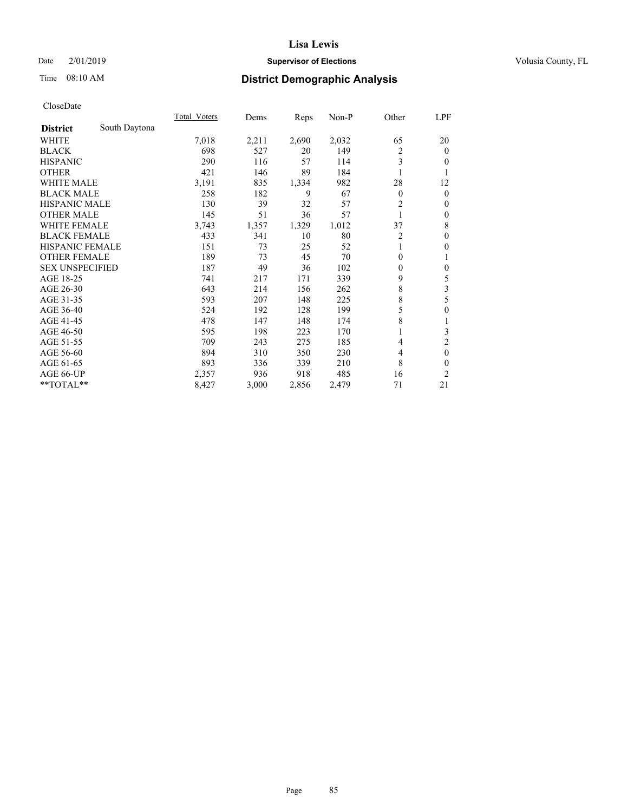Date 2/01/2019

Time 08:10 AM

# **Supervisor of Elections County, FL**

# **District Demographic Analysis**

|                        |               | <b>Total Voters</b> | Dems  | Reps  | Non-P | Other          | LPF              |
|------------------------|---------------|---------------------|-------|-------|-------|----------------|------------------|
| <b>District</b>        | South Daytona |                     |       |       |       |                |                  |
| WHITE                  |               | 7,018               | 2,211 | 2,690 | 2,032 | 65             | 20               |
| <b>BLACK</b>           |               | 698                 | 527   | 20    | 149   | $\overline{c}$ | $\mathbf{0}$     |
| <b>HISPANIC</b>        |               | 290                 | 116   | 57    | 114   | 3              | $\theta$         |
| <b>OTHER</b>           |               | 421                 | 146   | 89    | 184   |                | 1                |
| WHITE MALE             |               | 3,191               | 835   | 1,334 | 982   | 28             | 12               |
| <b>BLACK MALE</b>      |               | 258                 | 182   | 9     | 67    | $\mathbf{0}$   | $\mathbf{0}$     |
| <b>HISPANIC MALE</b>   |               | 130                 | 39    | 32    | 57    | $\overline{2}$ | $\mathbf{0}$     |
| <b>OTHER MALE</b>      |               | 145                 | 51    | 36    | 57    | 1              | $\mathbf{0}$     |
| <b>WHITE FEMALE</b>    |               | 3,743               | 1,357 | 1,329 | 1,012 | 37             | 8                |
| <b>BLACK FEMALE</b>    |               | 433                 | 341   | 10    | 80    | $\overline{2}$ | $\mathbf{0}$     |
| <b>HISPANIC FEMALE</b> |               | 151                 | 73    | 25    | 52    | 1              | $\theta$         |
| <b>OTHER FEMALE</b>    |               | 189                 | 73    | 45    | 70    | $\theta$       | 1                |
| <b>SEX UNSPECIFIED</b> |               | 187                 | 49    | 36    | 102   | $\mathbf{0}$   | $\boldsymbol{0}$ |
| AGE 18-25              |               | 741                 | 217   | 171   | 339   | 9              | 5                |
| AGE 26-30              |               | 643                 | 214   | 156   | 262   | 8              | 3                |
| AGE 31-35              |               | 593                 | 207   | 148   | 225   | 8              | 5                |
| AGE 36-40              |               | 524                 | 192   | 128   | 199   | 5              | $\mathbf{0}$     |
| AGE 41-45              |               | 478                 | 147   | 148   | 174   | 8              | 1                |
| AGE 46-50              |               | 595                 | 198   | 223   | 170   |                | 3                |
| AGE 51-55              |               | 709                 | 243   | 275   | 185   | 4              | $\overline{2}$   |
| AGE 56-60              |               | 894                 | 310   | 350   | 230   | 4              | $\mathbf{0}$     |
| AGE 61-65              |               | 893                 | 336   | 339   | 210   | 8              | $\theta$         |
| AGE 66-UP              |               | 2,357               | 936   | 918   | 485   | 16             | 2                |
| **TOTAL**              |               | 8,427               | 3,000 | 2,856 | 2,479 | 71             | 21               |